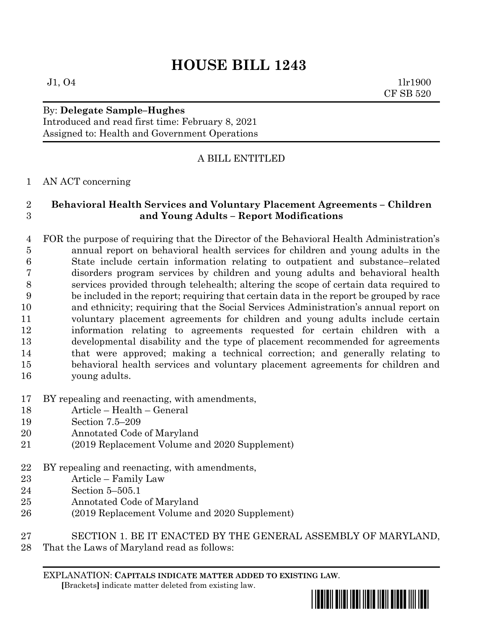# **HOUSE BILL 1243**

 $J1, O4$  1lr1900 CF SB 520

## By: **Delegate Sample–Hughes**

Introduced and read first time: February 8, 2021 Assigned to: Health and Government Operations

## A BILL ENTITLED

#### AN ACT concerning

### **Behavioral Health Services and Voluntary Placement Agreements – Children and Young Adults – Report Modifications**

- FOR the purpose of requiring that the Director of the Behavioral Health Administration's annual report on behavioral health services for children and young adults in the State include certain information relating to outpatient and substance–related disorders program services by children and young adults and behavioral health services provided through telehealth; altering the scope of certain data required to be included in the report; requiring that certain data in the report be grouped by race and ethnicity; requiring that the Social Services Administration's annual report on voluntary placement agreements for children and young adults include certain information relating to agreements requested for certain children with a developmental disability and the type of placement recommended for agreements that were approved; making a technical correction; and generally relating to behavioral health services and voluntary placement agreements for children and young adults.
- BY repealing and reenacting, with amendments,
- Article Health General
- Section 7.5–209
- Annotated Code of Maryland
- (2019 Replacement Volume and 2020 Supplement)
- BY repealing and reenacting, with amendments,
- Article Family Law
- Section 5–505.1
- Annotated Code of Maryland
- (2019 Replacement Volume and 2020 Supplement)
- SECTION 1. BE IT ENACTED BY THE GENERAL ASSEMBLY OF MARYLAND,
- That the Laws of Maryland read as follows:

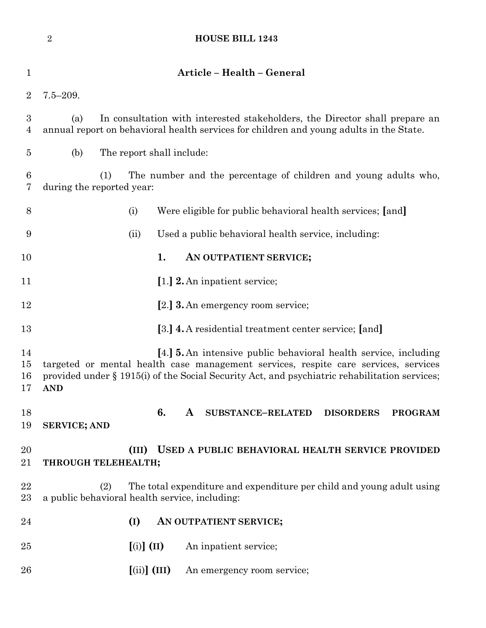|                                    | $\sqrt{2}$                                                                                                                                                                                                                                                                    |                                                      | <b>HOUSE BILL 1243</b>                                                               |  |  |  |  |  |
|------------------------------------|-------------------------------------------------------------------------------------------------------------------------------------------------------------------------------------------------------------------------------------------------------------------------------|------------------------------------------------------|--------------------------------------------------------------------------------------|--|--|--|--|--|
| $\mathbf 1$                        |                                                                                                                                                                                                                                                                               |                                                      | Article - Health - General                                                           |  |  |  |  |  |
| $\overline{2}$                     | $7.5 - 209.$                                                                                                                                                                                                                                                                  |                                                      |                                                                                      |  |  |  |  |  |
| $\boldsymbol{3}$<br>$\overline{4}$ | In consultation with interested stakeholders, the Director shall prepare an<br>(a)<br>annual report on behavioral health services for children and young adults in the State.                                                                                                 |                                                      |                                                                                      |  |  |  |  |  |
| 5                                  | (b)                                                                                                                                                                                                                                                                           | The report shall include:                            |                                                                                      |  |  |  |  |  |
| $\boldsymbol{6}$<br>7              | The number and the percentage of children and young adults who,<br>(1)<br>during the reported year:                                                                                                                                                                           |                                                      |                                                                                      |  |  |  |  |  |
| 8                                  |                                                                                                                                                                                                                                                                               | (i)                                                  | Were eligible for public behavioral health services; [and]                           |  |  |  |  |  |
| 9                                  |                                                                                                                                                                                                                                                                               | (ii)                                                 | Used a public behavioral health service, including:                                  |  |  |  |  |  |
| 10                                 |                                                                                                                                                                                                                                                                               |                                                      | 1.<br>AN OUTPATIENT SERVICE;                                                         |  |  |  |  |  |
| 11                                 |                                                                                                                                                                                                                                                                               |                                                      | [1.] 2. An inpatient service;                                                        |  |  |  |  |  |
| 12                                 |                                                                                                                                                                                                                                                                               |                                                      | [2.] <b>3.</b> An emergency room service;                                            |  |  |  |  |  |
| 13                                 |                                                                                                                                                                                                                                                                               |                                                      | [3.] 4. A residential treatment center service; [and]                                |  |  |  |  |  |
| 14<br>15<br>16<br>17               | [4.] <b>5.</b> An intensive public behavioral health service, including<br>targeted or mental health case management services, respite care services, services<br>provided under § 1915(i) of the Social Security Act, and psychiatric rehabilitation services;<br><b>AND</b> |                                                      |                                                                                      |  |  |  |  |  |
| 18<br>19                           | <b>SERVICE; AND</b>                                                                                                                                                                                                                                                           |                                                      | 6.<br>$\mathbf{A}$<br><b>SUBSTANCE-RELATED</b><br><b>DISORDERS</b><br><b>PROGRAM</b> |  |  |  |  |  |
| 20<br>21                           |                                                                                                                                                                                                                                                                               | (III)<br>THROUGH TELEHEALTH;                         | USED A PUBLIC BEHAVIORAL HEALTH SERVICE PROVIDED                                     |  |  |  |  |  |
| 22<br>23                           | The total expenditure and expenditure per child and young adult using<br>(2)<br>a public behavioral health service, including:                                                                                                                                                |                                                      |                                                                                      |  |  |  |  |  |
| 24                                 |                                                                                                                                                                                                                                                                               | (I)                                                  | AN OUTPATIENT SERVICE;                                                               |  |  |  |  |  |
| 25                                 |                                                                                                                                                                                                                                                                               | $\left[ \text{(i)} \right] \left( \text{II} \right)$ | An inpatient service;                                                                |  |  |  |  |  |
| 26                                 |                                                                                                                                                                                                                                                                               | $\left[\text{(ii)}\right]$ (III)                     | An emergency room service;                                                           |  |  |  |  |  |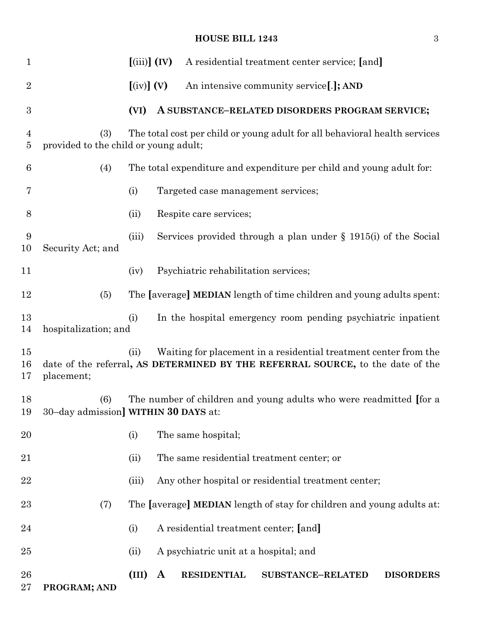## **HOUSE BILL 1243** 3

| $\mathbf{1}$       |                                                                                                                            | $(iii)$ $(IV)$                 |              |                                       | A residential treatment center service; [and]                                                                                                      |                  |
|--------------------|----------------------------------------------------------------------------------------------------------------------------|--------------------------------|--------------|---------------------------------------|----------------------------------------------------------------------------------------------------------------------------------------------------|------------------|
| $\overline{2}$     |                                                                                                                            | $\left[\text{(iv)}\right]$ (V) |              |                                       | An intensive community service[.]; AND                                                                                                             |                  |
| $\boldsymbol{3}$   |                                                                                                                            | (VI)                           |              |                                       | A SUBSTANCE-RELATED DISORDERS PROGRAM SERVICE;                                                                                                     |                  |
| 4<br>5             | The total cost per child or young adult for all behavioral health services<br>(3)<br>provided to the child or young adult; |                                |              |                                       |                                                                                                                                                    |                  |
| 6                  | (4)                                                                                                                        |                                |              |                                       | The total expenditure and expenditure per child and young adult for:                                                                               |                  |
| 7                  |                                                                                                                            | (i)                            |              | Targeted case management services;    |                                                                                                                                                    |                  |
| 8                  |                                                                                                                            | (ii)                           |              | Respite care services;                |                                                                                                                                                    |                  |
| 9<br>10            | Security Act; and                                                                                                          | (iii)                          |              |                                       | Services provided through a plan under $\S$ 1915(i) of the Social                                                                                  |                  |
| 11                 |                                                                                                                            | (iv)                           |              | Psychiatric rehabilitation services;  |                                                                                                                                                    |                  |
| 12                 | (5)                                                                                                                        |                                |              |                                       | The [average] MEDIAN length of time children and young adults spent:                                                                               |                  |
| 13<br>14           | hospitalization; and                                                                                                       | (i)                            |              |                                       | In the hospital emergency room pending psychiatric inpatient                                                                                       |                  |
| $15\,$<br>16<br>17 | placement;                                                                                                                 | (ii)                           |              |                                       | Waiting for placement in a residential treatment center from the<br>date of the referral, AS DETERMINED BY THE REFERRAL SOURCE, to the date of the |                  |
| 18<br>19           | The number of children and young adults who were readmitted [for a<br>(6)<br>30-day admission] WITHIN 30 DAYS at:          |                                |              |                                       |                                                                                                                                                    |                  |
| 20                 |                                                                                                                            | (i)                            |              | The same hospital;                    |                                                                                                                                                    |                  |
| 21                 |                                                                                                                            | (ii)                           |              |                                       | The same residential treatment center; or                                                                                                          |                  |
| 22                 |                                                                                                                            | (iii)                          |              |                                       | Any other hospital or residential treatment center;                                                                                                |                  |
| 23                 | (7)                                                                                                                        |                                |              |                                       | The [average] MEDIAN length of stay for children and young adults at:                                                                              |                  |
| 24                 |                                                                                                                            | (i)                            |              | A residential treatment center; [and] |                                                                                                                                                    |                  |
| $25\,$             |                                                                                                                            | (ii)                           |              | A psychiatric unit at a hospital; and |                                                                                                                                                    |                  |
| 26<br>$27\,$       | PROGRAM; AND                                                                                                               | (III)                          | $\mathbf{A}$ | <b>RESIDENTIAL</b>                    | <b>SUBSTANCE-RELATED</b>                                                                                                                           | <b>DISORDERS</b> |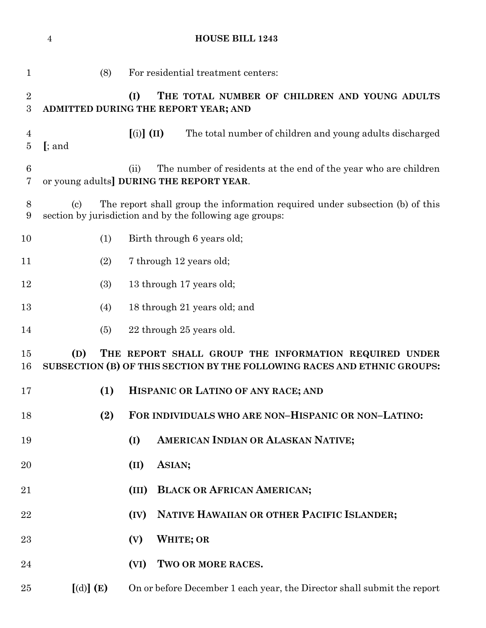|                                      | <b>HOUSE BILL 1243</b><br>$\overline{4}$                                                                                                                             |                                                                                              |                                                                                                                    |  |  |  |  |  |
|--------------------------------------|----------------------------------------------------------------------------------------------------------------------------------------------------------------------|----------------------------------------------------------------------------------------------|--------------------------------------------------------------------------------------------------------------------|--|--|--|--|--|
| $\mathbf 1$                          |                                                                                                                                                                      | (8)                                                                                          | For residential treatment centers:                                                                                 |  |  |  |  |  |
| $\boldsymbol{2}$<br>$\boldsymbol{3}$ |                                                                                                                                                                      | THE TOTAL NUMBER OF CHILDREN AND YOUNG ADULTS<br>(I)<br>ADMITTED DURING THE REPORT YEAR; AND |                                                                                                                    |  |  |  |  |  |
| 4<br>$\bf 5$                         | $[$ ; and                                                                                                                                                            |                                                                                              | $\left[ \text{(i)} \right] \left( \text{II} \right)$<br>The total number of children and young adults discharged   |  |  |  |  |  |
| $6\phantom{.}6$<br>7                 |                                                                                                                                                                      |                                                                                              | The number of residents at the end of the year who are children<br>(ii)<br>or young adults DURING THE REPORT YEAR. |  |  |  |  |  |
| $8\,$<br>9                           | The report shall group the information required under subsection (b) of this<br>$\left( \text{c}\right)$<br>section by jurisdiction and by the following age groups: |                                                                                              |                                                                                                                    |  |  |  |  |  |
| 10                                   |                                                                                                                                                                      | (1)                                                                                          | Birth through 6 years old;                                                                                         |  |  |  |  |  |
| 11                                   |                                                                                                                                                                      | (2)                                                                                          | 7 through 12 years old;                                                                                            |  |  |  |  |  |
| 12                                   |                                                                                                                                                                      | (3)                                                                                          | 13 through 17 years old;                                                                                           |  |  |  |  |  |
| 13                                   |                                                                                                                                                                      | (4)                                                                                          | 18 through 21 years old; and                                                                                       |  |  |  |  |  |
| 14                                   |                                                                                                                                                                      | (5)                                                                                          | 22 through 25 years old.                                                                                           |  |  |  |  |  |
| 15<br>16                             | THE REPORT SHALL GROUP THE INFORMATION REQUIRED UNDER<br>(D)<br>SUBSECTION (B) OF THIS SECTION BY THE FOLLOWING RACES AND ETHNIC GROUPS:                             |                                                                                              |                                                                                                                    |  |  |  |  |  |
| 17                                   |                                                                                                                                                                      | (1)                                                                                          | HISPANIC OR LATINO OF ANY RACE; AND                                                                                |  |  |  |  |  |
| 18                                   |                                                                                                                                                                      | (2)                                                                                          | FOR INDIVIDUALS WHO ARE NON-HISPANIC OR NON-LATINO:                                                                |  |  |  |  |  |
| 19                                   |                                                                                                                                                                      |                                                                                              | AMERICAN INDIAN OR ALASKAN NATIVE;<br>(I)                                                                          |  |  |  |  |  |
| 20                                   |                                                                                                                                                                      |                                                                                              | ASIAN;<br>(II)                                                                                                     |  |  |  |  |  |
| 21                                   |                                                                                                                                                                      |                                                                                              | <b>BLACK OR AFRICAN AMERICAN;</b><br>(III)                                                                         |  |  |  |  |  |
| 22                                   |                                                                                                                                                                      |                                                                                              | NATIVE HAWAIIAN OR OTHER PACIFIC ISLANDER;<br>(IV)                                                                 |  |  |  |  |  |
| 23                                   |                                                                                                                                                                      |                                                                                              | <b>WHITE; OR</b><br>(V)                                                                                            |  |  |  |  |  |
| 24                                   |                                                                                                                                                                      |                                                                                              | TWO OR MORE RACES.<br>(VI)                                                                                         |  |  |  |  |  |
| 25                                   | [(d)] (E)                                                                                                                                                            |                                                                                              | On or before December 1 each year, the Director shall submit the report                                            |  |  |  |  |  |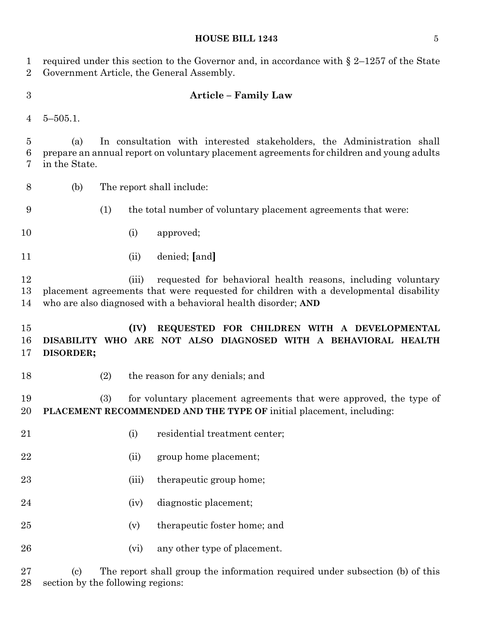#### **HOUSE BILL 1243** 5

 required under this section to the Governor and, in accordance with § 2–1257 of the State Government Article, the General Assembly.

#### **Article – Family Law**

5–505.1.

 (a) In consultation with interested stakeholders, the Administration shall prepare an annual report on voluntary placement agreements for children and young adults in the State.

- (b) The report shall include:
- (1) the total number of voluntary placement agreements that were:
- (i) approved;
- (ii) denied; **[**and**]**

 (iii) requested for behavioral health reasons, including voluntary placement agreements that were requested for children with a developmental disability who are also diagnosed with a behavioral health disorder; **AND**

 **(IV) REQUESTED FOR CHILDREN WITH A DEVELOPMENTAL DISABILITY WHO ARE NOT ALSO DIAGNOSED WITH A BEHAVIORAL HEALTH DISORDER;**

- 
- (2) the reason for any denials; and

 (3) for voluntary placement agreements that were approved, the type of **PLACEMENT RECOMMENDED AND THE TYPE OF** initial placement, including:

- 21 (i) residential treatment center;
- 22 (ii) group home placement;
- 23 (iii) the rapeutic group home;
- (iv) diagnostic placement;
- (v) therapeutic foster home; and
- 26 (vi) any other type of placement.

 (c) The report shall group the information required under subsection (b) of this section by the following regions: